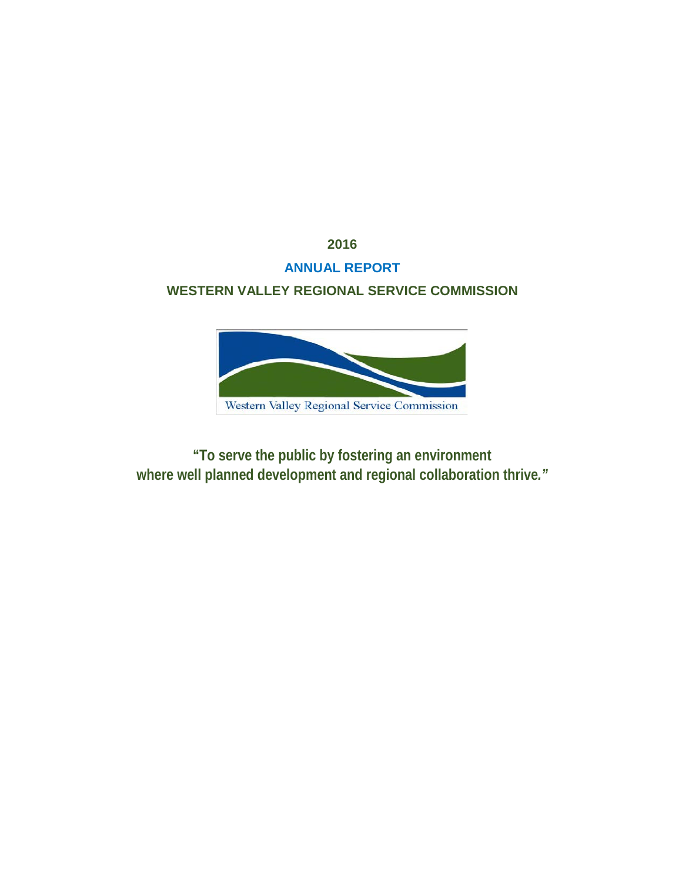**2016**

# **ANNUAL REPORT**

# **WESTERN VALLEY REGIONAL SERVICE COMMISSION**



**"To serve the public by fostering an environment where well planned development and regional collaboration thrive***."*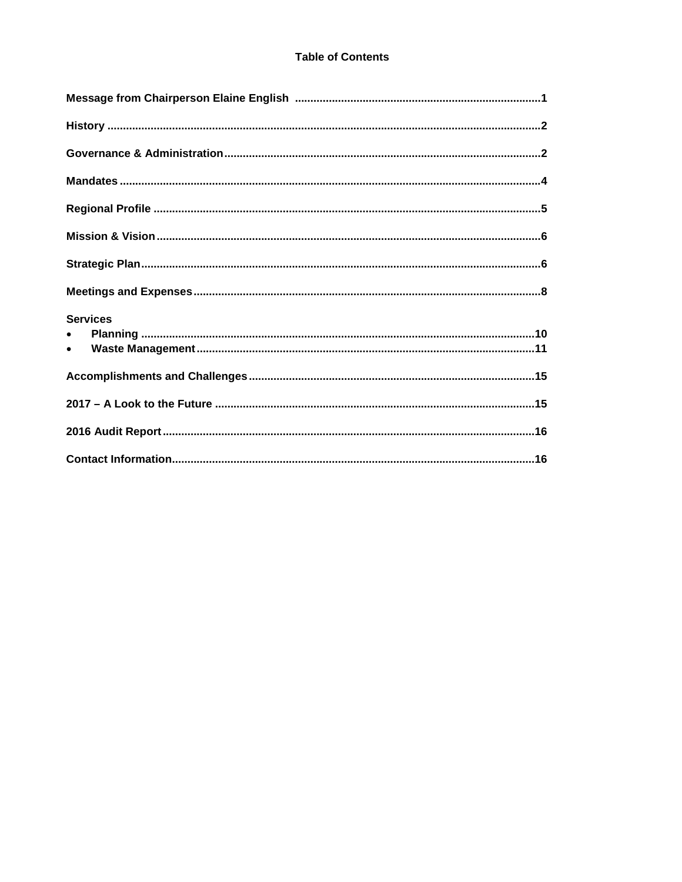| <b>Services</b> |
|-----------------|
| $\bullet$       |
| $\bullet$       |
|                 |
|                 |
|                 |
|                 |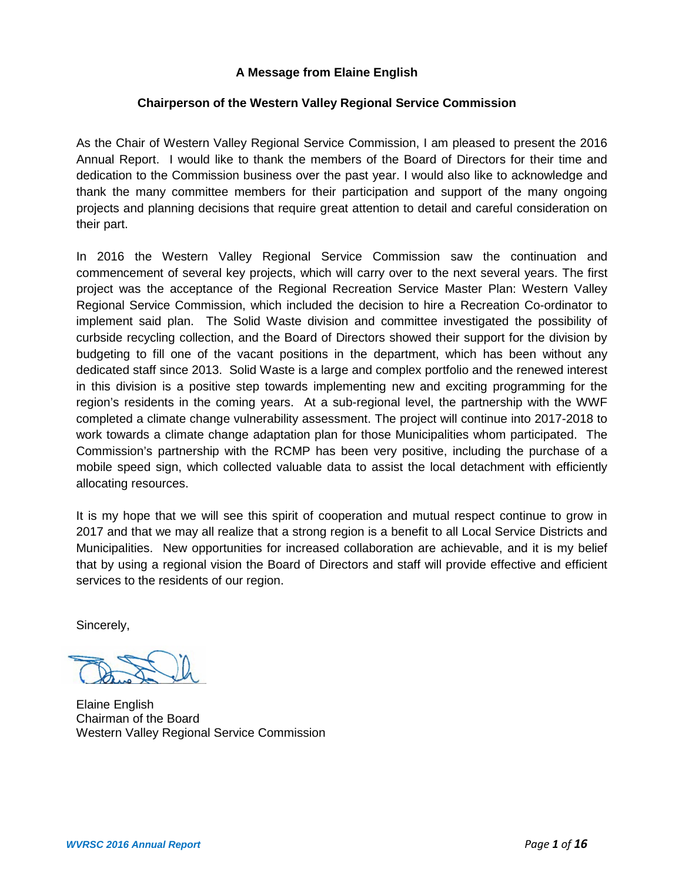# **A Message from Elaine English**

## **Chairperson of the Western Valley Regional Service Commission**

As the Chair of Western Valley Regional Service Commission, I am pleased to present the 2016 Annual Report. I would like to thank the members of the Board of Directors for their time and dedication to the Commission business over the past year. I would also like to acknowledge and thank the many committee members for their participation and support of the many ongoing projects and planning decisions that require great attention to detail and careful consideration on their part.

In 2016 the Western Valley Regional Service Commission saw the continuation and commencement of several key projects, which will carry over to the next several years. The first project was the acceptance of the Regional Recreation Service Master Plan: Western Valley Regional Service Commission, which included the decision to hire a Recreation Co-ordinator to implement said plan. The Solid Waste division and committee investigated the possibility of curbside recycling collection, and the Board of Directors showed their support for the division by budgeting to fill one of the vacant positions in the department, which has been without any dedicated staff since 2013. Solid Waste is a large and complex portfolio and the renewed interest in this division is a positive step towards implementing new and exciting programming for the region's residents in the coming years. At a sub-regional level, the partnership with the WWF completed a climate change vulnerability assessment. The project will continue into 2017-2018 to work towards a climate change adaptation plan for those Municipalities whom participated. The Commission's partnership with the RCMP has been very positive, including the purchase of a mobile speed sign, which collected valuable data to assist the local detachment with efficiently allocating resources.

It is my hope that we will see this spirit of cooperation and mutual respect continue to grow in 2017 and that we may all realize that a strong region is a benefit to all Local Service Districts and Municipalities. New opportunities for increased collaboration are achievable, and it is my belief that by using a regional vision the Board of Directors and staff will provide effective and efficient services to the residents of our region.

Sincerely,

Elaine English Chairman of the Board Western Valley Regional Service Commission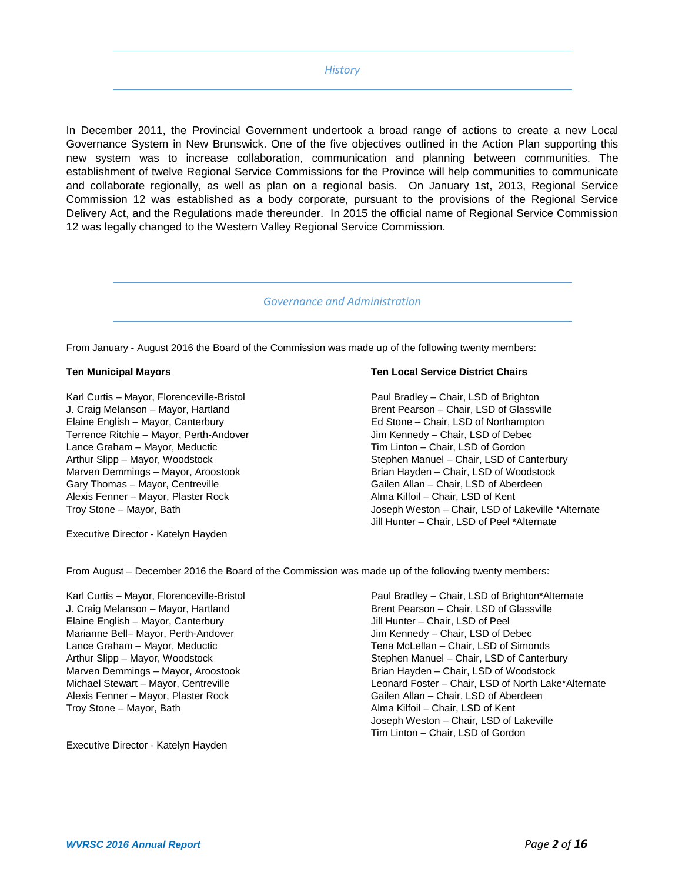### *History*

In December 2011, the Provincial Government undertook a broad range of actions to create a new Local Governance System in New Brunswick. One of the five objectives outlined in the Action Plan supporting this new system was to increase collaboration, communication and planning between communities. The establishment of twelve Regional Service Commissions for the Province will help communities to communicate and collaborate regionally, as well as plan on a regional basis. On January 1st, 2013, Regional Service Commission 12 was established as a body corporate, pursuant to the provisions of the Regional Service Delivery Act, and the Regulations made thereunder. In 2015 the official name of Regional Service Commission 12 was legally changed to the Western Valley Regional Service Commission.

#### *Governance and Administration*

From January - August 2016 the Board of the Commission was made up of the following twenty members:

J. Craig Melanson – Mayor, Hartland and Brent Pearson – Chair, LSD of Glassville<br>Brent Pearson – Chair, LSD of Northampton Terrence Ritchie – Mayor, Perth-Andover Lance Graham – Mayor, Meductic **Chair and Chair and Chair, LSD of Gordon**<br>Arthur Slipp – Mayor, Woodstock **Chair, LSD of Cair** Stephen Manuel – Chair, LSD of Ca Alexis Fenner – Mayor, Plaster Rock

#### **Ten Municipal Mayors Ten Local Service District Chairs**

Karl Curtis – Mayor, Florenceville-Bristol Paul Bradley – Chair, LSD of Brighton Ed Stone – Chair, LSD of Northampton<br>Jim Kennedy – Chair, LSD of Debec Arthur Slipp – Mayor, Woodstock Stephen Manuel – Chair, LSD of Canterbury<br>Marven Demmings – Mayor, Aroostook Stephen Hayden – Chair, LSD of Woodstock Marven Demmings – Mayor, Aroostook and Brian Hayden – Chair, LSD of Woodstock Gary Thomas – Mayor, Centreville Gailen Allan – Chair, LSD of Aberdeen<br>Alma Kilfoil – Chair, LSD of Kent Troy Stone – Mayor, Bath Joseph Weston – Chair, LSD of Lakeville \*Alternate Jill Hunter – Chair, LSD of Peel \*Alternate

Executive Director - Katelyn Hayden

From August – December 2016 the Board of the Commission was made up of the following twenty members:

Elaine English – Mayor, Canterbury Jill Hunter – Chair, LSD of Peel Marianne Bell– Mayor, Perth-Andover **Jum Kennedy – Chair, LSD of Debec** Alexis Fenner – Mayor, Plaster Rock Gailen Allan – Chair, LSD of Aberdeen Troy Stone – Mayor, Bath Alma Kilfoil – Chair, LSD of Kent

Executive Director - Katelyn Hayden

Karl Curtis – Mayor, Florenceville-Bristol Paul Bradley – Chair, LSD of Brighton\*Alternate J. Craig Melanson – Mayor, Hartland Brent Pearson – Chair, LSD of Glassville Lance Graham – Mayor, Meductic Tena McLellan – Chair, LSD of Simonds Arthur Slipp – Mayor, Woodstock Stephen Manuel – Chair, LSD of Canterbury Marven Demmings – Mayor, Aroostook and Brian Hayden – Chair, LSD of Woodstock brian Hayden – Chair, LSD of Woodstock<br>Michael Stewart – Mayor, Centreville and Brian Brian Hayden – Chair, LSD of North Lake Leonard Foster – Chair, LSD of North Lake\*Alternate Joseph Weston – Chair, LSD of Lakeville Tim Linton – Chair, LSD of Gordon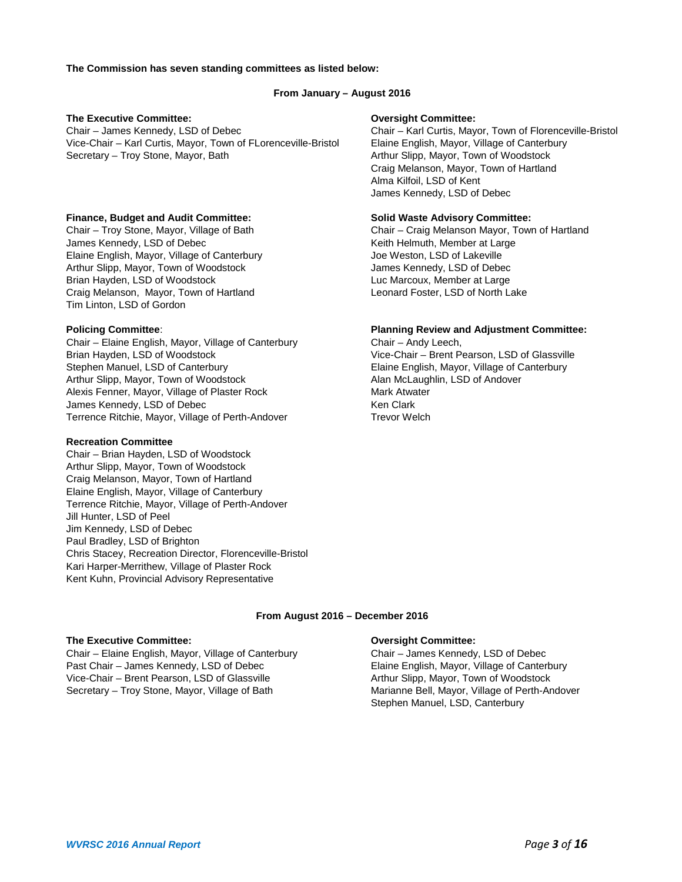#### **The Commission has seven standing committees as listed below:**

#### **From January – August 2016**

#### **The Executive Committee: Oversight Committee:**

Chair – James Kennedy, LSD of Debec Chair – Karl Curtis, Mayor, Town of Florenceville-Bristol Vice-Chair – Karl Curtis, Mayor, Town of FLorenceville-Bristol Elaine English, Mayor, Village of Canterbury Secretary – Troy Stone, Mayor, Bath Arthur Slipp, Mayor, Town of Woodstock

#### **Finance, Budget and Audit Committee: Solid Waste Advisory Committee:**

James Kennedy, LSD of Debec Kennedy, LSD of Debec Keith Helmuth, Member at Large Elaine English, Mayor, Village of Canterbury Joe Weston, LSD of Lakeville Arthur Slipp, Mayor, Town of Woodstock Guidean Muslem School James Kennedy, LSD of Debec Brian Hayden, LSD of Woodstock Luc Marcoux, Member at Large Craig Melanson, Mayor, Town of Hartland Leonard Foster, LSD of North Lake Tim Linton, LSD of Gordon

Chair – Elaine English, Mayor, Village of Canterbury Brian Hayden, LSD of Woodstock Vice-Chair – Brent Pearson, LSD of Glassville Stephen Manuel, LSD of Canterbury Elaine English, Mayor, Village of Canterbury Arthur Slipp, Mayor, Town of Woodstock Alan McLaughlin, LSD of Andover Alexis Fenner, Mayor, Village of Plaster Rock Mark Atwater James Kennedy, LSD of Debec Ken Clark Terrence Ritchie, Mayor, Village of Perth-Andover Trevor Welch

#### **Recreation Committee**

Chair – Brian Hayden, LSD of Woodstock Arthur Slipp, Mayor, Town of Woodstock Craig Melanson, Mayor, Town of Hartland Elaine English, Mayor, Village of Canterbury Terrence Ritchie, Mayor, Village of Perth-Andover Jill Hunter, LSD of Peel Jim Kennedy, LSD of Debec Paul Bradley, LSD of Brighton Chris Stacey, Recreation Director, Florenceville-Bristol Kari Harper-Merrithew, Village of Plaster Rock Kent Kuhn, Provincial Advisory Representative

Craig Melanson, Mayor, Town of Hartland Alma Kilfoil, LSD of Kent James Kennedy, LSD of Debec

Chair – Troy Stone, Mayor, Village of Bath Chair – Craig Melanson Mayor, Town of Hartland

# **Policing Committee:**<br>
Chair – Elaine English, Mayor, Village of Canterbury **Planning Review and Adjustment Committee:**<br>
Chair – Andy Leech,

#### **From August 2016 – December 2016**

#### **The Executive Committee: Oversight Committee:**

Chair – Elaine English, Mayor, Village of Canterbury Chair – James Kennedy, LSD of Debec Past Chair – James Kennedy, LSD of Debec Elaine English, Mayor, Village of Canterbury Vice-Chair – Brent Pearson, LSD of Glassville **Arthur Slipp, Mayor, Town of Woodstock** Secretary – Troy Stone, Mayor, Village of Bath Marianne Bell, Mayor, Village of Perth-Andover

Stephen Manuel, LSD, Canterbury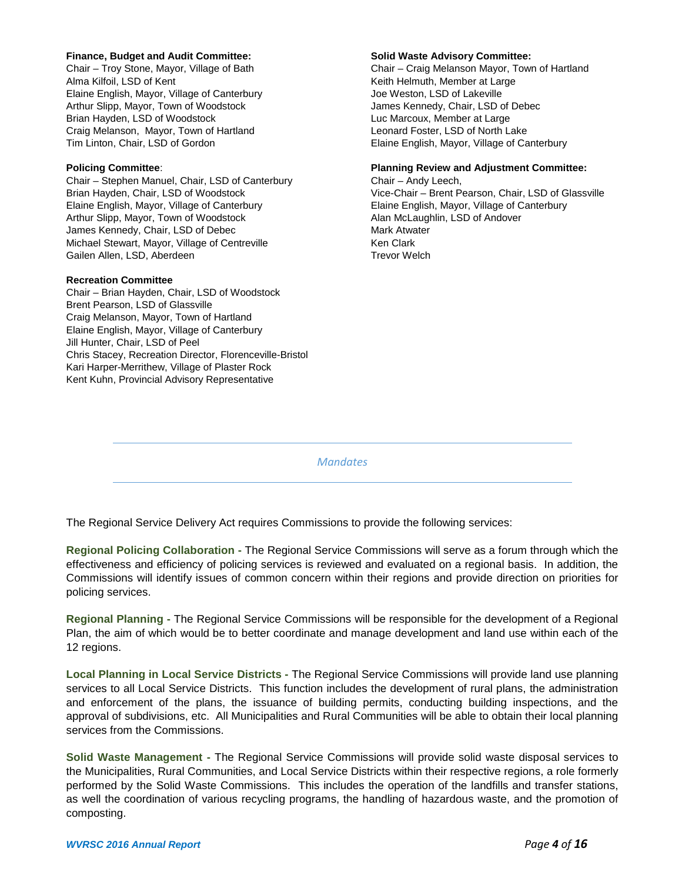#### **Finance, Budget and Audit Committee: Solid Waste Advisory Committee:**

Alma Kilfoil, LSD of Kent Kent Kent Kent Keith Helmuth, Member at Large Elaine English, Mayor, Village of Canterbury Joe Weston, LSD of Lakeville Arthur Slipp, Mayor, Town of Woodstock James Kennedy, Chair, LSD of Debec Brian Hayden, LSD of Woodstock Luc Marcoux, Member at Large Luc Marcoux, Member at Large Craig Melanson, Mayor, Town of Hartland Leonard Foster, LSD of North Lake

Chair – Stephen Manuel, Chair, LSD of Canterbury Chair – Andy Leech, Elaine English, Mayor, Village of Canterbury Elaine English, Mayor, Village of Canterbury Arthur Slipp, Mayor, Town of Woodstock Alan McLaughlin, LSD of Andover James Kennedy, Chair, LSD of Debec Mark Atwater Michael Stewart, Mayor, Village of Centreville Ken Clark Gailen Allen, LSD, Aberdeen Trevor Welch

#### **Recreation Committee**

Chair – Brian Hayden, Chair, LSD of Woodstock Brent Pearson, LSD of Glassville Craig Melanson, Mayor, Town of Hartland Elaine English, Mayor, Village of Canterbury Jill Hunter, Chair, LSD of Peel Chris Stacey, Recreation Director, Florenceville-Bristol Kari Harper-Merrithew, Village of Plaster Rock Kent Kuhn, Provincial Advisory Representative

Chair – Troy Stone, Mayor, Village of Bath Chair – Craig Melanson Mayor, Town of Hartland Tim Linton, Chair, LSD of Gordon Elaine English, Mayor, Village of Canterbury

#### **Policing Committee**: **Planning Review and Adjustment Committee:**

Brian Hayden, Chair, LSD of Woodstock Vice-Chair – Brent Pearson, Chair, LSD of Glassville

*Mandates*

The Regional Service Delivery Act requires Commissions to provide the following services:

**Regional Policing Collaboration -** The Regional Service Commissions will serve as a forum through which the effectiveness and efficiency of policing services is reviewed and evaluated on a regional basis. In addition, the Commissions will identify issues of common concern within their regions and provide direction on priorities for policing services.

**Regional Planning -** The Regional Service Commissions will be responsible for the development of a Regional Plan, the aim of which would be to better coordinate and manage development and land use within each of the 12 regions.

**Local Planning in Local Service Districts -** The Regional Service Commissions will provide land use planning services to all Local Service Districts. This function includes the development of rural plans, the administration and enforcement of the plans, the issuance of building permits, conducting building inspections, and the approval of subdivisions, etc. All Municipalities and Rural Communities will be able to obtain their local planning services from the Commissions.

**Solid Waste Management -** The Regional Service Commissions will provide solid waste disposal services to the Municipalities, Rural Communities, and Local Service Districts within their respective regions, a role formerly performed by the Solid Waste Commissions. This includes the operation of the landfills and transfer stations, as well the coordination of various recycling programs, the handling of hazardous waste, and the promotion of composting.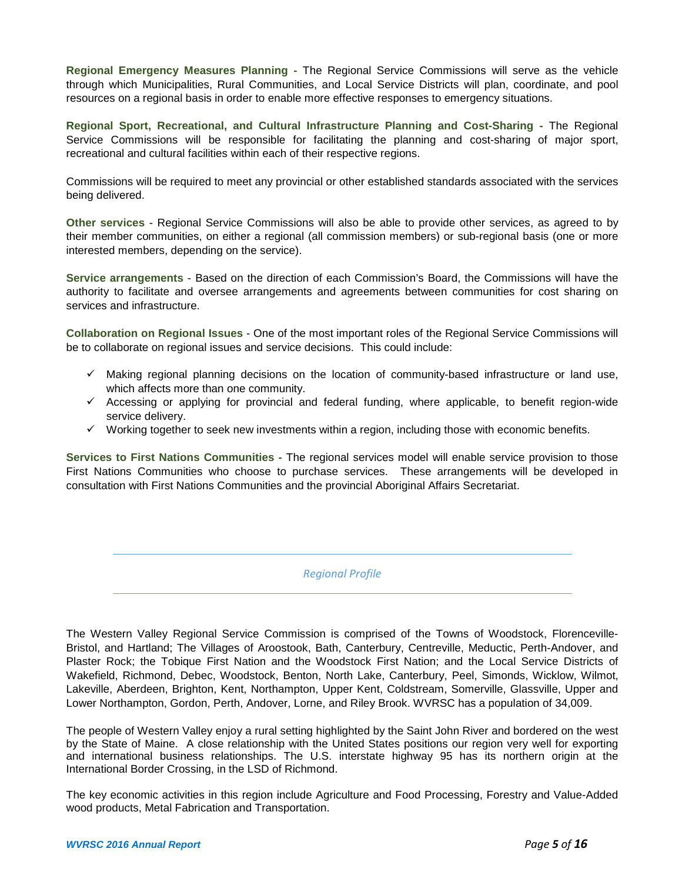**Regional Emergency Measures Planning -** The Regional Service Commissions will serve as the vehicle through which Municipalities, Rural Communities, and Local Service Districts will plan, coordinate, and pool resources on a regional basis in order to enable more effective responses to emergency situations.

**Regional Sport, Recreational, and Cultural Infrastructure Planning and Cost-Sharing -** The Regional Service Commissions will be responsible for facilitating the planning and cost-sharing of major sport, recreational and cultural facilities within each of their respective regions.

Commissions will be required to meet any provincial or other established standards associated with the services being delivered.

**Other services** - Regional Service Commissions will also be able to provide other services, as agreed to by their member communities, on either a regional (all commission members) or sub-regional basis (one or more interested members, depending on the service).

**Service arrangements** - Based on the direction of each Commission's Board, the Commissions will have the authority to facilitate and oversee arrangements and agreements between communities for cost sharing on services and infrastructure.

**Collaboration on Regional Issues** - One of the most important roles of the Regional Service Commissions will be to collaborate on regional issues and service decisions. This could include:

- Making regional planning decisions on the location of community-based infrastructure or land use, which affects more than one community.
- $\checkmark$  Accessing or applying for provincial and federal funding, where applicable, to benefit region-wide service delivery.
- $\checkmark$  Working together to seek new investments within a region, including those with economic benefits.

**Services to First Nations Communities -** The regional services model will enable service provision to those First Nations Communities who choose to purchase services. These arrangements will be developed in consultation with First Nations Communities and the provincial Aboriginal Affairs Secretariat.

*Regional Profile*

The Western Valley Regional Service Commission is comprised of the Towns of Woodstock, Florenceville-Bristol, and Hartland; The Villages of Aroostook, Bath, Canterbury, Centreville, Meductic, Perth-Andover, and Plaster Rock; the Tobique First Nation and the Woodstock First Nation; and the Local Service Districts of Wakefield, Richmond, Debec, Woodstock, Benton, North Lake, Canterbury, Peel, Simonds, Wicklow, Wilmot, Lakeville, Aberdeen, Brighton, Kent, Northampton, Upper Kent, Coldstream, Somerville, Glassville, Upper and Lower Northampton, Gordon, Perth, Andover, Lorne, and Riley Brook. WVRSC has a population of 34,009.

The people of Western Valley enjoy a rural setting highlighted by the Saint John River and bordered on the west by the State of Maine. A close relationship with the United States positions our region very well for exporting and international business relationships. The U.S. interstate highway 95 has its northern origin at the International Border Crossing, in the LSD of Richmond.

The key economic activities in this region include Agriculture and Food Processing, Forestry and Value-Added wood products, Metal Fabrication and Transportation.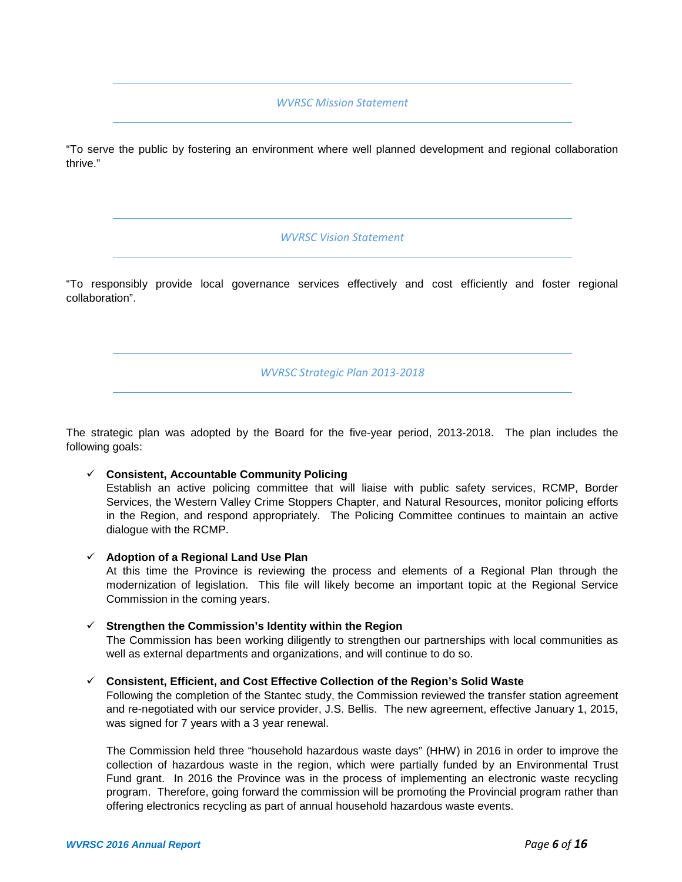### *WVRSC Mission Statement*

"To serve the public by fostering an environment where well planned development and regional collaboration thrive."

### *WVRSC Vision Statement*

"To responsibly provide local governance services effectively and cost efficiently and foster regional collaboration".

*WVRSC Strategic Plan 2013-2018*

The strategic plan was adopted by the Board for the five-year period, 2013-2018. The plan includes the following goals:

- **Consistent, Accountable Community Policing** Establish an active policing committee that will liaise with public safety services, RCMP, Border Services, the Western Valley Crime Stoppers Chapter, and Natural Resources, monitor policing efforts in the Region, and respond appropriately. The Policing Committee continues to maintain an active dialogue with the RCMP.
- **Adoption of a Regional Land Use Plan**

At this time the Province is reviewing the process and elements of a Regional Plan through the modernization of legislation. This file will likely become an important topic at the Regional Service Commission in the coming years.

- **Strengthen the Commission's Identity within the Region** The Commission has been working diligently to strengthen our partnerships with local communities as well as external departments and organizations, and will continue to do so.
- **Consistent, Efficient, and Cost Effective Collection of the Region's Solid Waste**

Following the completion of the Stantec study, the Commission reviewed the transfer station agreement and re-negotiated with our service provider, J.S. Bellis. The new agreement, effective January 1, 2015, was signed for 7 years with a 3 year renewal.

The Commission held three "household hazardous waste days" (HHW) in 2016 in order to improve the collection of hazardous waste in the region, which were partially funded by an Environmental Trust Fund grant. In 2016 the Province was in the process of implementing an electronic waste recycling program. Therefore, going forward the commission will be promoting the Provincial program rather than offering electronics recycling as part of annual household hazardous waste events.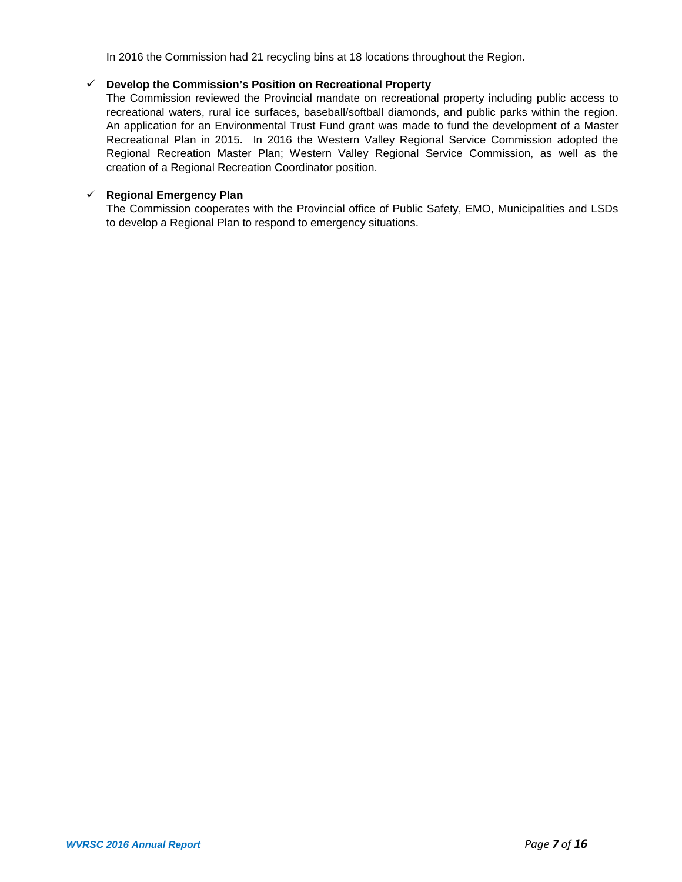In 2016 the Commission had 21 recycling bins at 18 locations throughout the Region.

### **Develop the Commission's Position on Recreational Property**

The Commission reviewed the Provincial mandate on recreational property including public access to recreational waters, rural ice surfaces, baseball/softball diamonds, and public parks within the region. An application for an Environmental Trust Fund grant was made to fund the development of a Master Recreational Plan in 2015. In 2016 the Western Valley Regional Service Commission adopted the Regional Recreation Master Plan; Western Valley Regional Service Commission, as well as the creation of a Regional Recreation Coordinator position.

### **Regional Emergency Plan**

The Commission cooperates with the Provincial office of Public Safety, EMO, Municipalities and LSDs to develop a Regional Plan to respond to emergency situations.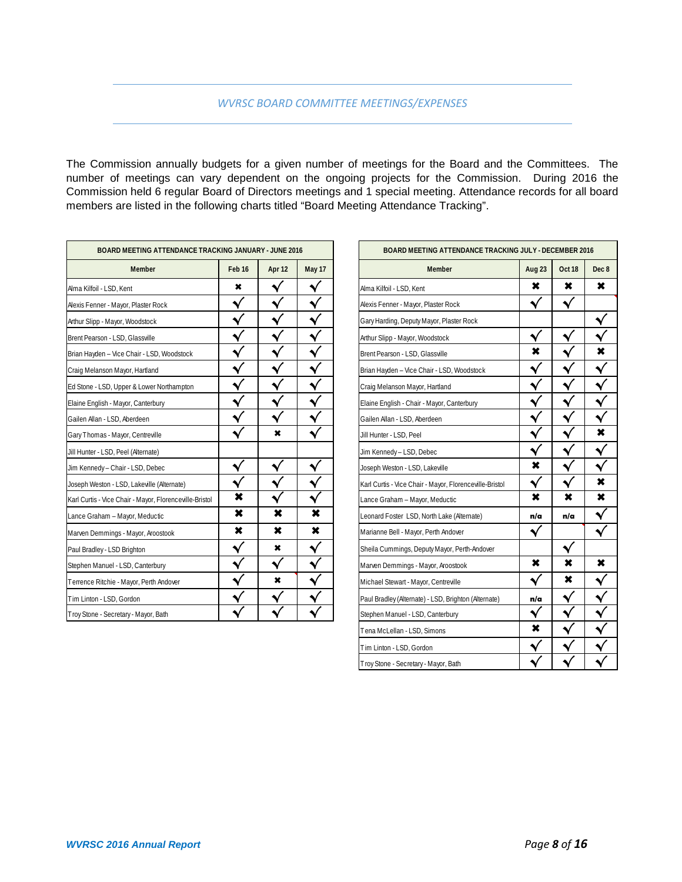The Commission annually budgets for a given number of meetings for the Board and the Committees. The number of meetings can vary dependent on the ongoing projects for the Commission. During 2016 the Commission held 6 regular Board of Directors meetings and 1 special meeting. Attendance records for all board members are listed in the following charts titled "Board Meeting Attendance Tracking".

| BOARD MEETING ATTENDANCE TRACKING JANUARY - JUNE 2016                        |                                                         |                | <b>BOARD MEETING ATTENDANCE TRACKING JULY - DECEMBER 2016</b> |
|------------------------------------------------------------------------------|---------------------------------------------------------|----------------|---------------------------------------------------------------|
| May 17<br>Feb 16<br>Apr 12                                                   | <b>Member</b>                                           | Aug 23         | Oct 18                                                        |
| √<br>$\pmb{\times}$                                                          | Alma Kilfoil - LSD, Kent                                | $\pmb{\times}$ | $\boldsymbol{\mathsf{x}}$                                     |
| $\checkmark$                                                                 | Alexis Fenner - Mayor, Plaster Rock                     | √              | √                                                             |
|                                                                              | Gary Harding, Deputy Mayor, Plaster Rock                |                |                                                               |
|                                                                              | Arthur Slipp - Mayor, Woodstock                         |                |                                                               |
| ᄿ<br>Brian Hayden - Vice Chair - LSD, Woodstock                              | Brent Pearson - LSD, Glassville                         | $\pmb{\times}$ |                                                               |
| $\checkmark$                                                                 | Brian Hayden - Vice Chair - LSD, Woodstock              |                |                                                               |
| $\checkmark$<br>$\checkmark$<br>Ed Stone - LSD, Upper & Lower Northampton    | Craig Melanson Mayor, Hartland                          |                |                                                               |
|                                                                              | Elaine English - Chair - Mayor, Canterbury              |                |                                                               |
| √                                                                            | Gailen Allan - LSD. Aberdeen                            |                |                                                               |
| $\blacktriangledown$<br>√<br>$\boldsymbol{\mathsf{x}}$                       | Jill Hunter - LSD, Peel                                 |                |                                                               |
|                                                                              | Jim Kennedy - LSD, Debec                                |                |                                                               |
| $\blacktriangledown$<br>√<br>$\blacktriangleleft$                            | Joseph Weston - LSD, Lakeville                          | ×              |                                                               |
| $\checkmark$                                                                 | Karl Curtis - Vice Chair - Mayor, Florenceville-Bristol |                |                                                               |
| ×<br>$\checkmark$<br>Karl Curtis - Vice Chair - Mayor, Florenceville-Bristol | Lance Graham - Mayor, Meductic                          | $\pmb{\times}$ | $\pmb{\times}$                                                |
| $\pmb{\times}$<br>×<br>×                                                     | Leonard Foster LSD, North Lake (Alternate)              | n/a            | n/a                                                           |
| $\pmb{\times}$<br>×<br>×                                                     | Marianne Bell - Mayor, Perth Andover                    | √              |                                                               |
| $\checkmark$<br>×                                                            | Sheila Cummings, Deputy Mayor, Perth-Andover            |                | $\checkmark$                                                  |
| $\checkmark$<br>$\checkmark$                                                 | Marven Demmings - Mayor, Aroostook                      | ×              | $\pmb{\times}$                                                |
| $\checkmark$<br>$\star$                                                      | Michael Stewart - Mayor, Centreville                    | ᄿ              | $\pmb{\times}$                                                |
|                                                                              | Paul Bradley (Alternate) - LSD, Brighton (Alternate)    | n/a            |                                                               |
|                                                                              | Stephen Manuel - LSD, Canterbury                        |                |                                                               |

| ETING ATTENDANCE TRACKING JANUARY - JUNE 2016 |        |              |                      | BOARD MEETING ATTENDANCE TRACKING JULY - DECEMBER 2016  |        |     |
|-----------------------------------------------|--------|--------------|----------------------|---------------------------------------------------------|--------|-----|
| Member                                        | Feb 16 | Apr 12       | May 17               | Member                                                  | Aug 23 |     |
|                                               | ×      |              | ᄿ                    | Alma Kilfoil - LSD, Kent                                | ×      |     |
| Plaster Rock                                  |        |              |                      | Alexis Fenner - Mayor, Plaster Rock                     | √      |     |
| oodstock                                      |        |              | ٧                    | Gary Harding, Deputy Mayor, Plaster Rock                |        |     |
| <b>Slassville</b>                             |        |              |                      | Arthur Slipp - Mayor, Woodstock                         | √      |     |
| hair - LSD, Woodstock                         |        |              | $\blacktriangleleft$ | Brent Pearson - LSD, Glassville                         | ×      |     |
| : Hartland                                    | ٧      | √            | $\blacklozenge$      | Brian Hayden - Vice Chair - LSD, Woodstock              | ᄿ      |     |
| & Lower Northampton                           |        | ٧            | √                    | Craig Melanson Mayor, Hartland                          |        |     |
| Canterbury                                    |        |              | $\blacklozenge$      | Elaine English - Chair - Mayor, Canterbury              |        |     |
| erdeen                                        |        | $\checkmark$ | $\checkmark$         | Gailen Allan - LSD, Aberdeen                            |        |     |
| Centreville                                   |        | ×            | √                    | Jill Hunter - LSD, Peel                                 |        |     |
| (Alternate)                                   |        |              |                      | Jim Kennedy - LSD, Debec                                | √      |     |
| LSD, Debec                                    | ᄿ      | ᄿ            | √                    | Joseph Weston - LSD, Lakeville                          | ×      | ᄿ   |
| Lakeville (Alternate)                         |        |              | ٧                    | Karl Curtis - Vice Chair - Mayor, Florenceville-Bristol | ٧      |     |
| - Mayor, Florenceville-Bristol                | ×      |              |                      | Lance Graham - Mayor, Meductic                          | ×      | ×   |
| or, Meductic                                  | ×      | ×            | ×                    | Leonard Foster LSD, North Lake (Alternate)              | n/a    | n/a |
| layor, Aroostook                              | ×      | ×            | ×                    | Marianne Bell - Mayor, Perth Andover                    | ٧      |     |
| ghton                                         | ٧      | ×            | √                    | Sheila Cummings, Deputy Mayor, Perth-Andover            |        | ᄿ   |
| , Canterbury                                  | ٧      | √            | $\blacklozenge$      | Marven Demmings - Mayor, Aroostook                      | ×      | ×   |
| yor, Perth Andover                            |        | ×            | √                    | Michael Stewart - Mayor, Centreville                    |        | ×   |
| don                                           |        |              | √                    | Paul Bradley (Alternate) - LSD, Brighton (Alternate)    | n/a    | ٧   |
| - Mayor, Bath                                 |        |              |                      | Stephen Manuel - LSD, Canterbury                        | √      |     |
|                                               |        |              |                      | Tena McLellan - LSD, Simons                             | ×      |     |
|                                               |        |              |                      | Tim Linton - LSD, Gordon                                |        |     |
|                                               |        |              |                      | Troy Stone - Secretary - Mayor, Bath                    |        |     |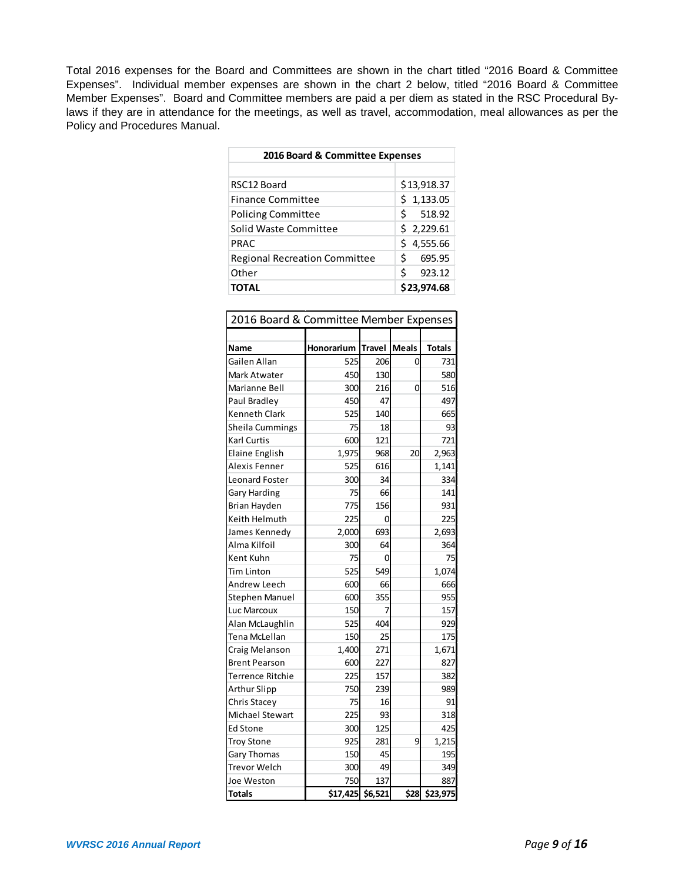Total 2016 expenses for the Board and Committees are shown in the chart titled "2016 Board & Committee Expenses". Individual member expenses are shown in the chart 2 below, titled "2016 Board & Committee Member Expenses". Board and Committee members are paid a per diem as stated in the RSC Procedural Bylaws if they are in attendance for the meetings, as well as travel, accommodation, meal allowances as per the Policy and Procedures Manual.

| 2016 Board & Committee Expenses      |             |  |  |  |  |
|--------------------------------------|-------------|--|--|--|--|
|                                      |             |  |  |  |  |
| RSC12 Board                          | \$13,918.37 |  |  |  |  |
| <b>Finance Committee</b>             | \$1,133.05  |  |  |  |  |
| <b>Policing Committee</b>            | Ś<br>518.92 |  |  |  |  |
| Solid Waste Committee                | \$2,229.61  |  |  |  |  |
| PRAC                                 | \$4,555.66  |  |  |  |  |
| <b>Regional Recreation Committee</b> | Ś<br>695.95 |  |  |  |  |
| Other                                | Ś<br>923.12 |  |  |  |  |
| <b>TOTAL</b>                         | \$23,974.68 |  |  |  |  |

| 2016 Board & Committee Member Expenses |                  |               |              |               |  |  |
|----------------------------------------|------------------|---------------|--------------|---------------|--|--|
|                                        |                  |               |              |               |  |  |
| Name                                   | Honorarium       | <b>Travel</b> | <b>Meals</b> | <b>Totals</b> |  |  |
| Gailen Allan                           | 525              | 206           | 0            | 731           |  |  |
| Mark Atwater                           | 450              | 130           |              | 580           |  |  |
| Marianne Bell                          | 300              | 216           | 0            | 516           |  |  |
| Paul Bradley                           | 450              | 47            |              | 497           |  |  |
| <b>Kenneth Clark</b>                   | 525              | 140           |              | 665           |  |  |
| Sheila Cummings                        | 75               | 18            |              | 93            |  |  |
| Karl Curtis                            | 600              | 121           |              | 721           |  |  |
| <b>Elaine English</b>                  | 1,975            | 968           | 20           | 2,963         |  |  |
| Alexis Fenner                          | 525              | 616           |              | 1,141         |  |  |
| Leonard Foster                         | 300              | 34            |              | 334           |  |  |
| Gary Harding                           | 75               | 66            |              | 141           |  |  |
| Brian Hayden                           | 775              | 156           |              | 931           |  |  |
| Keith Helmuth                          | 225              | 0             |              | 225           |  |  |
| James Kennedy                          | 2,000            | 693           |              | 2,693         |  |  |
| Alma Kilfoil                           | 300              | 64            |              | 364           |  |  |
| Kent Kuhn                              | 75               | 0             |              | 75            |  |  |
| Tim Linton                             | 525              | 549           |              | 1,074         |  |  |
| Andrew Leech                           | 600              | 66            |              | 666           |  |  |
| <b>Stephen Manuel</b>                  | 600              | 355           |              | 955           |  |  |
| Luc Marcoux                            | 150              | 7             |              | 157           |  |  |
| Alan McLaughlin                        | 525              | 404           |              | 929           |  |  |
| Tena McLellan                          | 150              | 25            |              | 175           |  |  |
| Craig Melanson                         | 1,400            | 271           |              | 1,671         |  |  |
| <b>Brent Pearson</b>                   | 600              | 227           |              | 827           |  |  |
| Terrence Ritchie                       | 225              | 157           |              | 382           |  |  |
| <b>Arthur Slipp</b>                    | 750              | 239           |              | 989           |  |  |
| Chris Stacey                           | 75               | 16            |              | 91            |  |  |
| Michael Stewart                        | 225              | 93            |              | 318           |  |  |
| <b>Ed Stone</b>                        | 300              | 125           |              | 425           |  |  |
| <b>Troy Stone</b>                      | 925              | 281           | 9            | 1,215         |  |  |
| Gary Thomas                            | 150              | 45            |              | 195           |  |  |
| Trevor Welch                           | 300              | 49            |              | 349           |  |  |
| Joe Weston                             | 750              | 137           |              | 887           |  |  |
| <b>Totals</b>                          | \$17,425 \$6,521 |               |              | \$28 \$23,975 |  |  |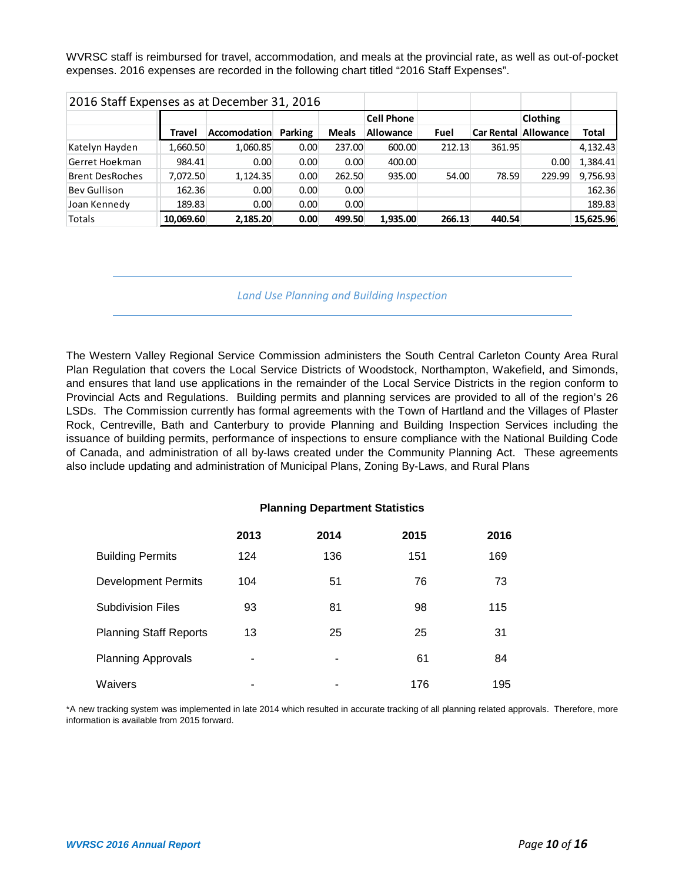WVRSC staff is reimbursed for travel, accommodation, and meals at the provincial rate, as well as out-of-pocket expenses. 2016 expenses are recorded in the following chart titled "2016 Staff Expenses".

| 2016 Staff Expenses as at December 31, 2016 |           |                     |                |              |                   |             |        |                             |           |
|---------------------------------------------|-----------|---------------------|----------------|--------------|-------------------|-------------|--------|-----------------------------|-----------|
|                                             |           |                     |                |              | <b>Cell Phone</b> |             |        | <b>Clothing</b>             |           |
|                                             | Travel    | <b>Accomodation</b> | <b>Parking</b> | <b>Meals</b> | Allowance         | <b>Fuel</b> |        | <b>Car Rental Allowance</b> | Total     |
| Katelyn Hayden                              | 1,660.50  | 1.060.85            | 0.00           | 237.00       | 600.00            | 212.13      | 361.95 |                             | 4,132.43  |
| Gerret Hoekman                              | 984.41    | 0.00                | 0.00           | 0.00         | 400.00            |             |        | 0.00                        | 1,384.41  |
| <b>Brent DesRoches</b>                      | 7,072.50  | 1,124.35            | 0.00           | 262.50       | 935.00            | 54.00       | 78.59  | 229.99                      | 9,756.93  |
| Bey Gullison                                | 162.36    | 0.00                | 0.00           | 0.00         |                   |             |        |                             | 162.36    |
| Joan Kennedy                                | 189.83    | 0.00                | 0.00           | 0.00         |                   |             |        |                             | 189.83    |
| Totals                                      | 10,069.60 | 2,185.20            | 0.00           | 499.50       | 1,935.00          | 266.13      | 440.54 |                             | 15,625.96 |

*Land Use Planning and Building Inspection*

The Western Valley Regional Service Commission administers the South Central Carleton County Area Rural Plan Regulation that covers the Local Service Districts of Woodstock, Northampton, Wakefield, and Simonds, and ensures that land use applications in the remainder of the Local Service Districts in the region conform to Provincial Acts and Regulations. Building permits and planning services are provided to all of the region's 26 LSDs. The Commission currently has formal agreements with the Town of Hartland and the Villages of Plaster Rock, Centreville, Bath and Canterbury to provide Planning and Building Inspection Services including the issuance of building permits, performance of inspections to ensure compliance with the National Building Code of Canada, and administration of all by-laws created under the Community Planning Act. These agreements also include updating and administration of Municipal Plans, Zoning By-Laws, and Rural Plans

### **Planning Department Statistics**

|                               | 2013 | 2014 | 2015 | 2016 |
|-------------------------------|------|------|------|------|
| <b>Building Permits</b>       | 124  | 136  | 151  | 169  |
| <b>Development Permits</b>    | 104  | 51   | 76   | 73   |
| <b>Subdivision Files</b>      | 93   | 81   | 98   | 115  |
| <b>Planning Staff Reports</b> | 13   | 25   | 25   | 31   |
| <b>Planning Approvals</b>     |      |      | 61   | 84   |
| Waivers                       |      | ٠    | 176  | 195  |

\*A new tracking system was implemented in late 2014 which resulted in accurate tracking of all planning related approvals. Therefore, more information is available from 2015 forward.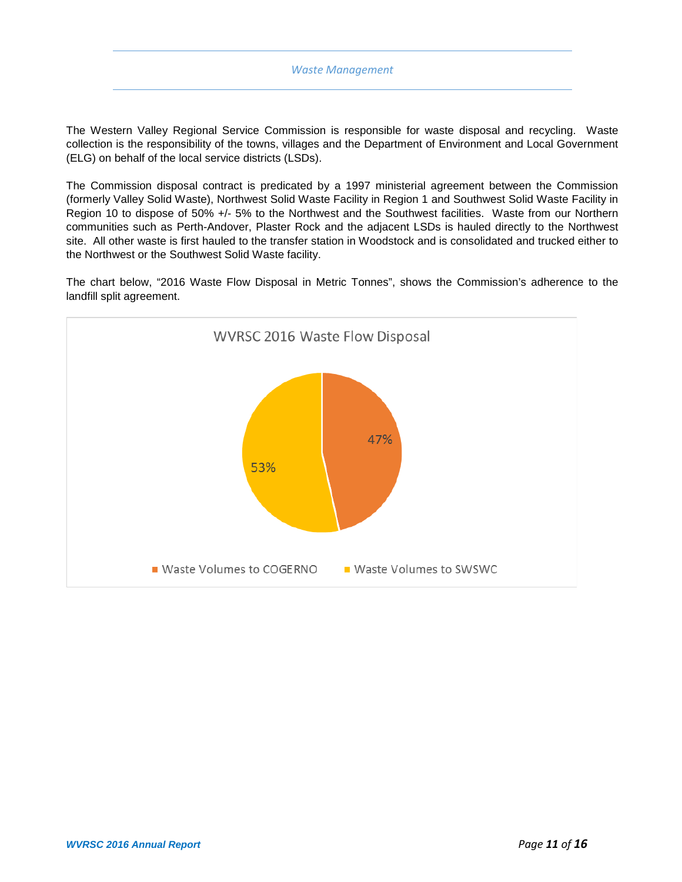#### *Waste Management*

The Western Valley Regional Service Commission is responsible for waste disposal and recycling. Waste collection is the responsibility of the towns, villages and the Department of Environment and Local Government (ELG) on behalf of the local service districts (LSDs).

The Commission disposal contract is predicated by a 1997 ministerial agreement between the Commission (formerly Valley Solid Waste), Northwest Solid Waste Facility in Region 1 and Southwest Solid Waste Facility in Region 10 to dispose of 50% +/- 5% to the Northwest and the Southwest facilities. Waste from our Northern communities such as Perth-Andover, Plaster Rock and the adjacent LSDs is hauled directly to the Northwest site. All other waste is first hauled to the transfer station in Woodstock and is consolidated and trucked either to the Northwest or the Southwest Solid Waste facility.

The chart below, "2016 Waste Flow Disposal in Metric Tonnes", shows the Commission's adherence to the landfill split agreement.

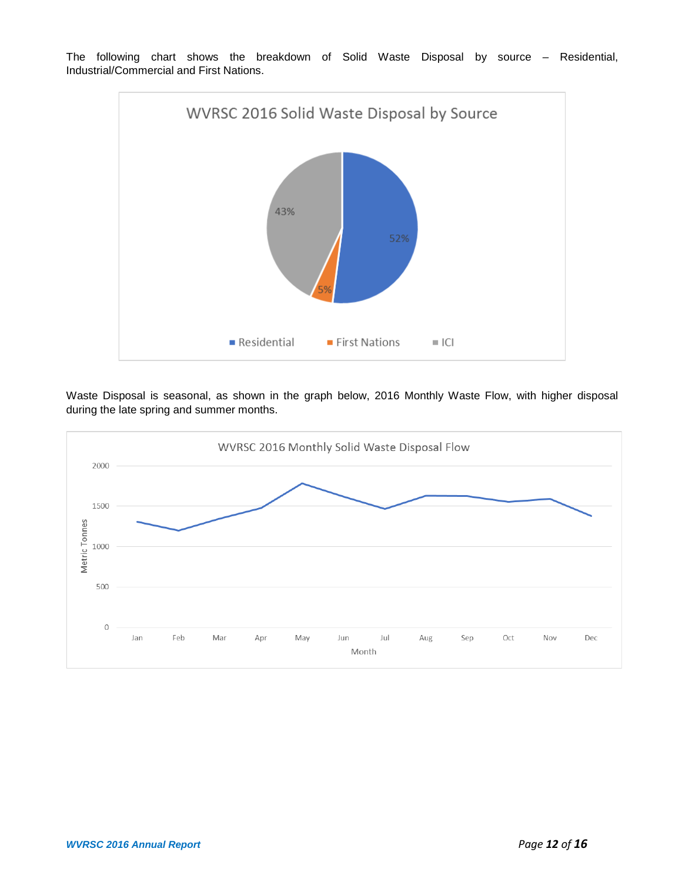

The following chart shows the breakdown of Solid Waste Disposal by source – Residential, Industrial/Commercial and First Nations.

Waste Disposal is seasonal, as shown in the graph below, 2016 Monthly Waste Flow, with higher disposal during the late spring and summer months.

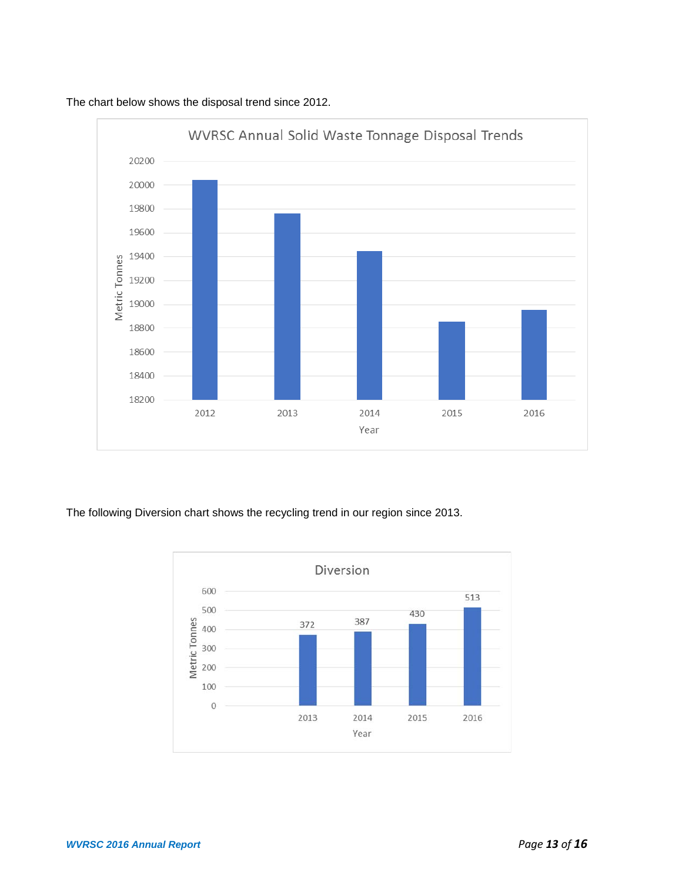

The chart below shows the disposal trend since 2012.

The following Diversion chart shows the recycling trend in our region since 2013.

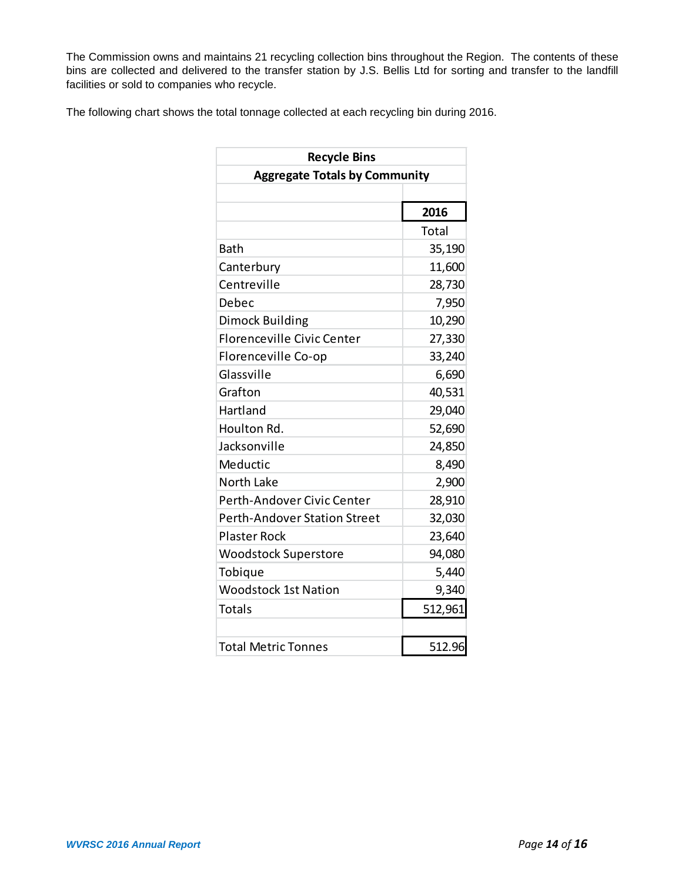The Commission owns and maintains 21 recycling collection bins throughout the Region. The contents of these bins are collected and delivered to the transfer station by J.S. Bellis Ltd for sorting and transfer to the landfill facilities or sold to companies who recycle.

The following chart shows the total tonnage collected at each recycling bin during 2016.

| <b>Recycle Bins</b>                  |         |  |  |  |  |
|--------------------------------------|---------|--|--|--|--|
| <b>Aggregate Totals by Community</b> |         |  |  |  |  |
|                                      |         |  |  |  |  |
|                                      | 2016    |  |  |  |  |
|                                      | Total   |  |  |  |  |
| <b>Bath</b>                          | 35,190  |  |  |  |  |
| Canterbury                           | 11,600  |  |  |  |  |
| Centreville                          | 28,730  |  |  |  |  |
| Debec                                | 7,950   |  |  |  |  |
| Dimock Building                      | 10,290  |  |  |  |  |
| <b>Florenceville Civic Center</b>    | 27,330  |  |  |  |  |
| Florenceville Co-op                  | 33,240  |  |  |  |  |
| Glassville                           | 6,690   |  |  |  |  |
| Grafton                              | 40,531  |  |  |  |  |
| Hartland                             | 29,040  |  |  |  |  |
| Houlton Rd.                          | 52,690  |  |  |  |  |
| Jacksonville                         | 24,850  |  |  |  |  |
| Meductic                             | 8,490   |  |  |  |  |
| North Lake                           | 2,900   |  |  |  |  |
| Perth-Andover Civic Center           | 28,910  |  |  |  |  |
| <b>Perth-Andover Station Street</b>  | 32,030  |  |  |  |  |
| <b>Plaster Rock</b>                  | 23,640  |  |  |  |  |
| <b>Woodstock Superstore</b>          | 94,080  |  |  |  |  |
| Tobique                              | 5,440   |  |  |  |  |
| <b>Woodstock 1st Nation</b>          | 9,340   |  |  |  |  |
| <b>Totals</b>                        | 512,961 |  |  |  |  |
|                                      |         |  |  |  |  |
| <b>Total Metric Tonnes</b>           | 512.96  |  |  |  |  |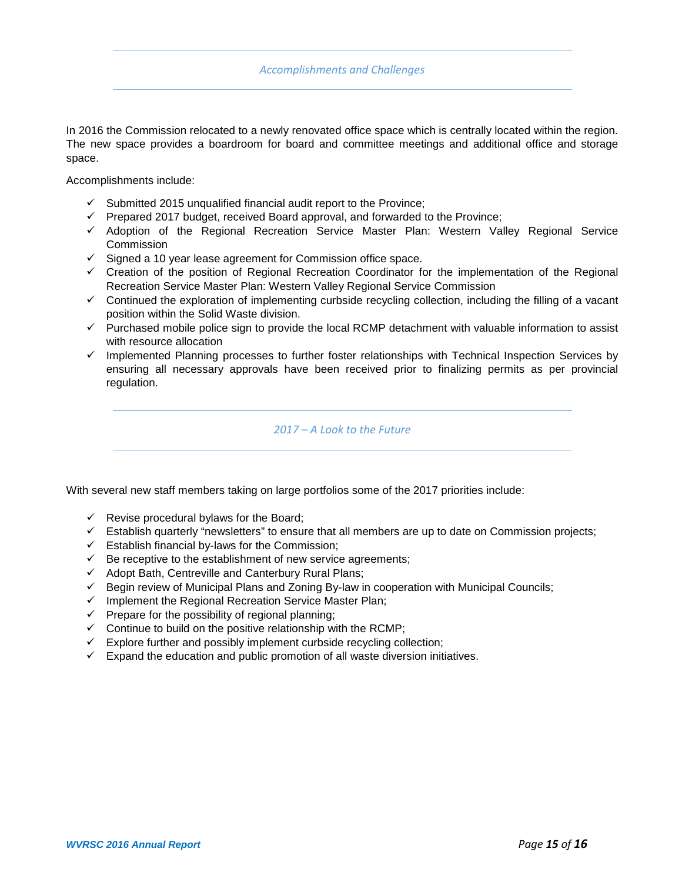In 2016 the Commission relocated to a newly renovated office space which is centrally located within the region. The new space provides a boardroom for board and committee meetings and additional office and storage space.

Accomplishments include:

- $\checkmark$  Submitted 2015 unqualified financial audit report to the Province;
- $\checkmark$  Prepared 2017 budget, received Board approval, and forwarded to the Province;
- Adoption of the Regional Recreation Service Master Plan: Western Valley Regional Service **Commission**
- $\checkmark$  Signed a 10 year lease agreement for Commission office space.
- $\checkmark$  Creation of the position of Regional Recreation Coordinator for the implementation of the Regional Recreation Service Master Plan: Western Valley Regional Service Commission
- $\checkmark$  Continued the exploration of implementing curbside recycling collection, including the filling of a vacant position within the Solid Waste division.
- $\checkmark$  Purchased mobile police sign to provide the local RCMP detachment with valuable information to assist with resource allocation
- $\checkmark$  Implemented Planning processes to further foster relationships with Technical Inspection Services by ensuring all necessary approvals have been received prior to finalizing permits as per provincial regulation.

### *2017 – A Look to the Future*

With several new staff members taking on large portfolios some of the 2017 priorities include:

- $\checkmark$  Revise procedural bylaws for the Board;
- $\checkmark$  Establish quarterly "newsletters" to ensure that all members are up to date on Commission projects;
- $\checkmark$  Establish financial by-laws for the Commission;
- $\checkmark$  Be receptive to the establishment of new service agreements;
- $\checkmark$  Adopt Bath, Centreville and Canterbury Rural Plans;
- $\checkmark$  Begin review of Municipal Plans and Zoning By-law in cooperation with Municipal Councils;
- $\checkmark$  Implement the Regional Recreation Service Master Plan;
- $\checkmark$  Prepare for the possibility of regional planning;
- $\checkmark$  Continue to build on the positive relationship with the RCMP;
- $\checkmark$  Explore further and possibly implement curbside recycling collection;
- $\checkmark$  Expand the education and public promotion of all waste diversion initiatives.